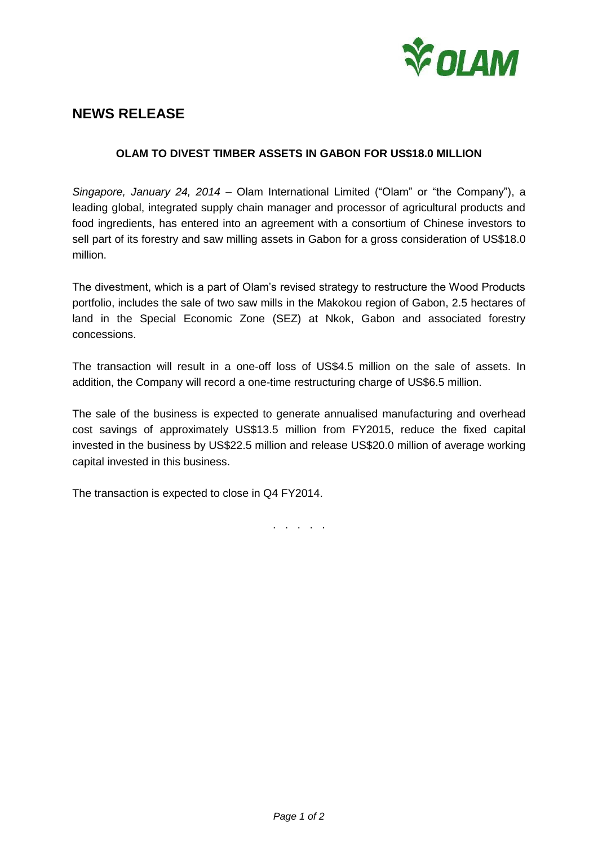

# **NEWS RELEASE**

## **OLAM TO DIVEST TIMBER ASSETS IN GABON FOR US\$18.0 MILLION**

*Singapore, January 24, 2014* – Olam International Limited ("Olam" or "the Company"), a leading global, integrated supply chain manager and processor of agricultural products and food ingredients, has entered into an agreement with a consortium of Chinese investors to sell part of its forestry and saw milling assets in Gabon for a gross consideration of US\$18.0 million.

The divestment, which is a part of Olam's revised strategy to restructure the Wood Products portfolio, includes the sale of two saw mills in the Makokou region of Gabon, 2.5 hectares of land in the Special Economic Zone (SEZ) at Nkok, Gabon and associated forestry concessions.

The transaction will result in a one-off loss of US\$4.5 million on the sale of assets. In addition, the Company will record a one-time restructuring charge of US\$6.5 million.

The sale of the business is expected to generate annualised manufacturing and overhead cost savings of approximately US\$13.5 million from FY2015, reduce the fixed capital invested in the business by US\$22.5 million and release US\$20.0 million of average working capital invested in this business.

The transaction is expected to close in Q4 FY2014.

. . . . .